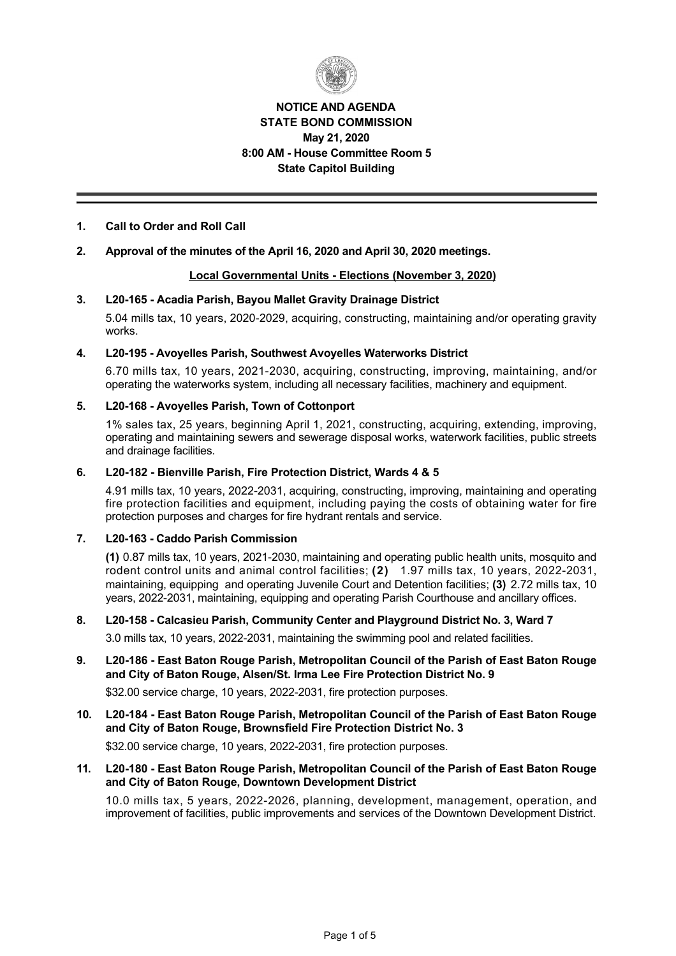

# **NOTICE AND AGENDA STATE BOND COMMISSION May 21, 2020 8:00 AM House Committee Room 5 State Capitol Building**

# **1. Call to Order and Roll Call**

# **2. Approval of the minutes of the April 16, 2020 and April 30, 2020 meetings.**

# **Local Governmental Units Elections (November 3, 2020)**

### **3. L20165 Acadia Parish, Bayou Mallet Gravity Drainage District**

5.04 mills tax, 10 years, 2020-2029, acquiring, constructing, maintaining and/or operating gravity works.

### **4. L20195 Avoyelles Parish, Southwest Avoyelles Waterworks District**

6.70 mills tax, 10 years, 2021-2030, acquiring, constructing, improving, maintaining, and/or operating the waterworks system, including all necessary facilities, machinery and equipment.

# **5. L20168 Avoyelles Parish, Town of Cottonport**

1% sales tax, 25 years, beginning April 1, 2021, constructing, acquiring, extending, improving, operating and maintaining sewers and sewerage disposal works, waterwork facilities, public streets and drainage facilities.

# **6. L20182 Bienville Parish, Fire Protection District, Wards 4 & 5**

4.91 mills tax, 10 years, 2022-2031, acquiring, constructing, improving, maintaining and operating fire protection facilities and equipment, including paying the costs of obtaining water for fire protection purposes and charges for fire hydrant rentals and service.

# **7. L20163 Caddo Parish Commission**

**(1)** 0.87 mills tax, 10 years, 20212030, maintaining and operating public health units, mosquito and rodent control units and animal control facilities; (2) 1.97 mills tax, 10 years, 2022-2031, maintaining, equipping and operating Juvenile Court and Detention facilities; **(3)** 2.72 mills tax, 10 years, 2022-2031, maintaining, equipping and operating Parish Courthouse and ancillary offices.

# **8. L20158 Calcasieu Parish, Community Center and Playground District No. 3, Ward 7**

3.0 mills tax, 10 years, 2022-2031, maintaining the swimming pool and related facilities.

# **9. L20186 East Baton Rouge Parish, Metropolitan Council of the Parish of East Baton Rouge and City of Baton Rouge, Alsen/St. Irma Lee Fire Protection District No. 9**

\$32.00 service charge, 10 years, 2022-2031, fire protection purposes.

# **10. L20184 East Baton Rouge Parish, Metropolitan Council of the Parish of East Baton Rouge and City of Baton Rouge, Brownsfield Fire Protection District No. 3**

\$32.00 service charge, 10 years, 2022-2031, fire protection purposes.

# 11. L20-180 - East Baton Rouge Parish, Metropolitan Council of the Parish of East Baton Rouge **and City of Baton Rouge, Downtown Development District**

10.0 mills tax, 5 years, 2022-2026, planning, development, management, operation, and improvement of facilities, public improvements and services of the Downtown Development District.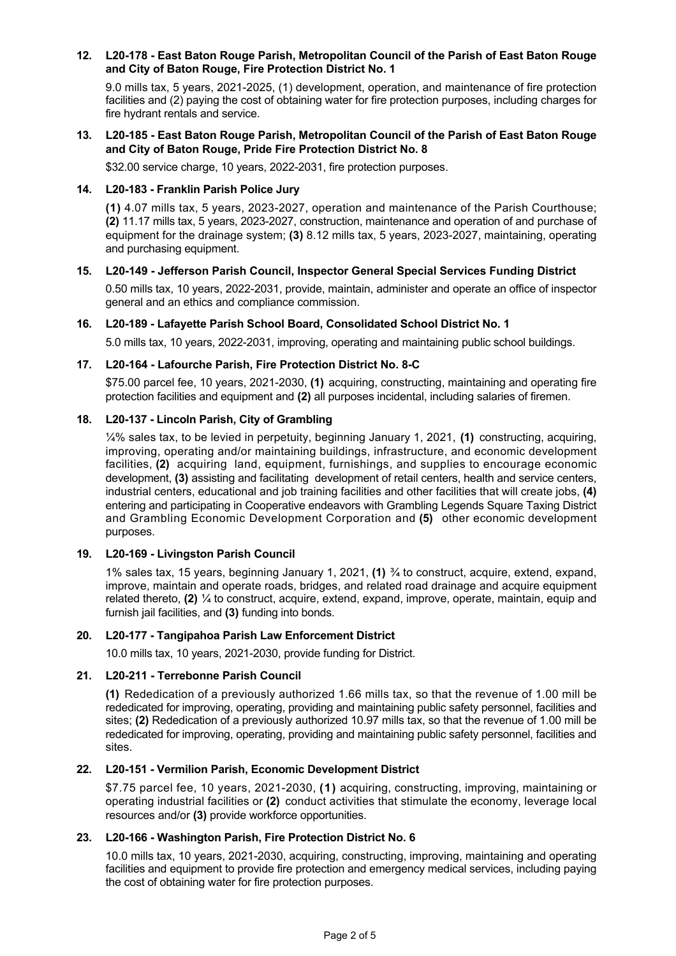# 12. L20-178 - East Baton Rouge Parish, Metropolitan Council of the Parish of East Baton Rouge **and City of Baton Rouge, Fire Protection District No. 1**

9.0 mills tax, 5 years, 2021-2025, (1) development, operation, and maintenance of fire protection facilities and (2) paying the cost of obtaining water for fire protection purposes, including charges for fire hydrant rentals and service.

# **13. L20185 East Baton Rouge Parish, Metropolitan Council of the Parish of East Baton Rouge and City of Baton Rouge, Pride Fire Protection District No. 8**

\$32.00 service charge, 10 years, 2022-2031, fire protection purposes.

# **14. L20183 Franklin Parish Police Jury**

(1) 4.07 mills tax, 5 years, 2023-2027, operation and maintenance of the Parish Courthouse; (2) 11.17 mills tax, 5 years, 2023-2027, construction, maintenance and operation of and purchase of equipment for the drainage system; **(3)** 8.12 mills tax, 5 years, 2023-2027, maintaining, operating and purchasing equipment.

# **15. L20149 Jefferson Parish Council, Inspector General Special Services Funding District**

0.50 mills tax, 10 years, 2022-2031, provide, maintain, administer and operate an office of inspector general and an ethics and compliance commission.

# **16. L20189 Lafayette Parish School Board, Consolidated School District No. 1**

5.0 mills tax, 10 years, 20222031, improving, operating and maintaining public school buildings.

# 17. L20-164 - Lafourche Parish, Fire Protection District No. 8-C

 $$75.00$  parcel fee, 10 years, 2021-2030, (1) acquiring, constructing, maintaining and operating fire protection facilities and equipment and **(2)** all purposes incidental, including salaries of firemen.

# 18. L20-137 - Lincoln Parish, City of Grambling

¼% sales tax, to be levied in perpetuity, beginning January 1, 2021, **(1)** constructing, acquiring, improving, operating and/or maintaining buildings, infrastructure, and economic development facilities, **(2)** acquiring land, equipment, furnishings, and supplies to encourage economic development, **(3)** assisting and facilitating development of retail centers, health and service centers, industrial centers, educational and job training facilities and other facilities that will create jobs, **(4)** entering and participating in Cooperative endeavors with Grambling Legends Square Taxing District and Grambling Economic Development Corporation and **(5)** other economic development purposes.

# **19. L20169 Livingston Parish Council**

1% sales tax, 15 years, beginning January 1, 2021, **(1)** ¾ to construct, acquire, extend, expand, improve, maintain and operate roads, bridges, and related road drainage and acquire equipment related thereto, **(2)** ¼ to construct, acquire, extend, expand, improve, operate, maintain, equip and furnish jail facilities, and **(3)** funding into bonds.

### **20. L20177 Tangipahoa Parish Law Enforcement District**

10.0 mills tax, 10 years, 2021-2030, provide funding for District.

### 21. L20-211 - Terrebonne Parish Council

**(1)** Rededication of a previously authorized 1.66 mills tax, so that the revenue of 1.00 mill be rededicated for improving, operating, providing and maintaining public safety personnel, facilities and sites; **(2)** Rededication of a previously authorized 10.97 mills tax, so that the revenue of 1.00 mill be rededicated for improving, operating, providing and maintaining public safety personnel, facilities and sites.

# **22. L20151 Vermilion Parish, Economic Development District**

\$7.75 parcel fee, 10 years, 2021-2030, (1) acquiring, constructing, improving, maintaining or operating industrial facilities or **(2)** conduct activities that stimulate the economy, leverage local resources and/or **(3)** provide workforce opportunities.

### **23. L20166 Washington Parish, Fire Protection District No. 6**

10.0 mills tax, 10 years, 2021-2030, acquiring, constructing, improving, maintaining and operating facilities and equipment to provide fire protection and emergency medical services, including paying the cost of obtaining water for fire protection purposes.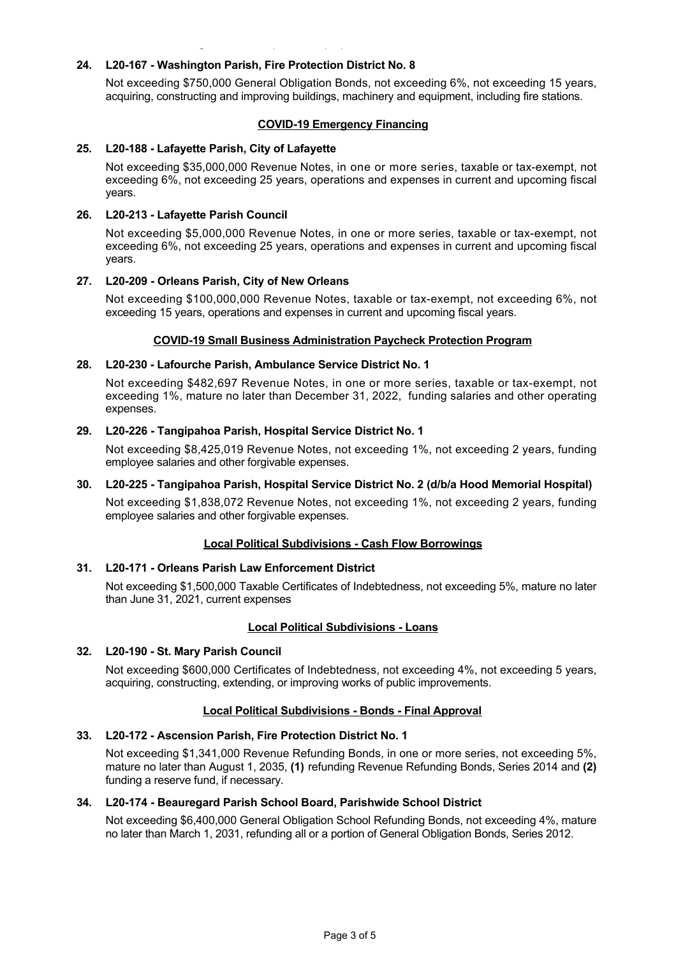# **24. L20167 Washington Parish, Fire Protection District No. 8**

the cost of obtaining water for fire protection purposes.

Not exceeding \$750,000 General Obligation Bonds, not exceeding 6%, not exceeding 15 years, acquiring, constructing and improving buildings, machinery and equipment, including fire stations.

# **COVID-19 Emergency Financing**

# **25. L20188 Lafayette Parish, City of Lafayette**

Not exceeding \$35,000,000 Revenue Notes, in one or more series, taxable or tax-exempt, not exceeding 6%, not exceeding 25 years, operations and expenses in current and upcoming fiscal years.

# **26. L20213 Lafayette Parish Council**

Not exceeding \$5,000,000 Revenue Notes, in one or more series, taxable or tax-exempt, not exceeding 6%, not exceeding 25 years, operations and expenses in current and upcoming fiscal years.

# 27. L20-209 - Orleans Parish, City of New Orleans

Not exceeding \$100,000,000 Revenue Notes, taxable or tax-exempt, not exceeding 6%, not exceeding 15 years, operations and expenses in current and upcoming fiscal years.

# **COVID-19 Small Business Administration Paycheck Protection Program**

# 28. L20-230 - Lafourche Parish, Ambulance Service District No. 1

Not exceeding \$482,697 Revenue Notes, in one or more series, taxable or tax-exempt, not exceeding 1%, mature no later than December 31, 2022, funding salaries and other operating expenses.

# **29. L20226 Tangipahoa Parish, Hospital Service District No. 1**

Not exceeding \$8,425,019 Revenue Notes, not exceeding 1%, not exceeding 2 years, funding employee salaries and other forgivable expenses.

# **30. L20225 Tangipahoa Parish, Hospital Service District No. 2 (d/b/a Hood Memorial Hospital)**

Not exceeding \$1,838,072 Revenue Notes, not exceeding 1%, not exceeding 2 years, funding employee salaries and other forgivable expenses.

# **Local Political Subdivisions Cash Flow Borrowings**

# **31. L20171 Orleans Parish Law Enforcement District**

Not exceeding \$1,500,000 Taxable Certificates of Indebtedness, not exceeding 5%, mature no later than June 31, 2021, current expenses

### **Local Political Subdivisions Loans**

### **32. L20190 St. Mary Parish Council**

Not exceeding \$600,000 Certificates of Indebtedness, not exceeding 4%, not exceeding 5 years, acquiring, constructing, extending, or improving works of public improvements.

# **Local Political Subdivisions - Bonds - Final Approval**

### **33. L20172 Ascension Parish, Fire Protection District No. 1**

Not exceeding \$1,341,000 Revenue Refunding Bonds, in one or more series, not exceeding 5%, mature no later than August 1, 2035, **(1)** refunding Revenue Refunding Bonds, Series 2014 and **(2)** funding a reserve fund, if necessary.

### **34. L20174 Beauregard Parish School Board, Parishwide School District**

Not exceeding \$6,400,000 General Obligation School Refunding Bonds, not exceeding 4%, mature no later than March 1, 2031, refunding all or a portion of General Obligation Bonds, Series 2012.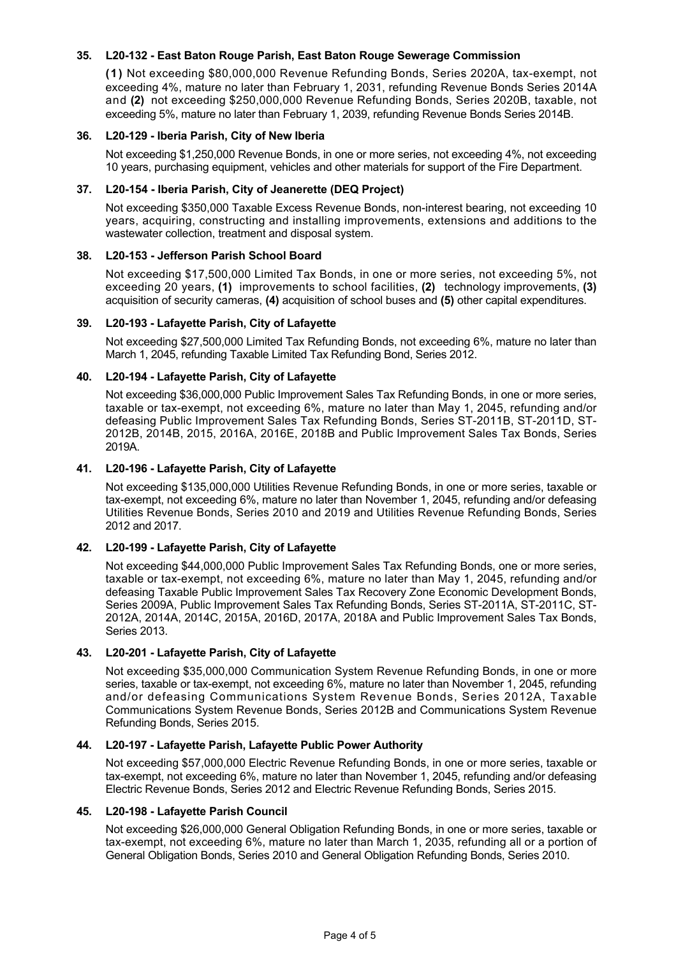# **35. L20132 East Baton Rouge Parish, East Baton Rouge Sewerage Commission**

**(1)** Not exceeding \$80,000,000 Revenue Refunding Bonds, Series 2020A, tax-exempt, not exceeding 4%, mature no later than February 1, 2031, refunding Revenue Bonds Series 2014A and **(2)** not exceeding \$250,000,000 Revenue Refunding Bonds, Series 2020B, taxable, not exceeding 5%, mature no later than February 1, 2039, refunding Revenue Bonds Series 2014B.

# **36. L20129 Iberia Parish, City of New Iberia**

Not exceeding \$1,250,000 Revenue Bonds, in one or more series, not exceeding 4%, not exceeding 10 years, purchasing equipment, vehicles and other materials for support of the Fire Department.

# **37. L20154 Iberia Parish, City of Jeanerette (DEQ Project)**

Not exceeding \$350,000 Taxable Excess Revenue Bonds, non-interest bearing, not exceeding 10 years, acquiring, constructing and installing improvements, extensions and additions to the wastewater collection, treatment and disposal system.

# **38. L20153 Jefferson Parish School Board**

Not exceeding \$17,500,000 Limited Tax Bonds, in one or more series, not exceeding 5%, not exceeding 20 years, **(1)** improvements to school facilities, **(2)** technology improvements, **(3)** acquisition of security cameras, **(4)** acquisition of school buses and **(5)** other capital expenditures.

# **39. L20193 Lafayette Parish, City of Lafayette**

Not exceeding \$27,500,000 Limited Tax Refunding Bonds, not exceeding 6%, mature no later than March 1, 2045, refunding Taxable Limited Tax Refunding Bond, Series 2012.

# **40. L20194 Lafayette Parish, City of Lafayette**

Not exceeding \$36,000,000 Public Improvement Sales Tax Refunding Bonds, in one or more series, taxable or tax-exempt, not exceeding 6%, mature no later than May 1, 2045, refunding and/or defeasing Public Improvement Sales Tax Refunding Bonds, Series ST-2011B, ST-2011D, ST-2012B, 2014B, 2015, 2016A, 2016E, 2018B and Public Improvement Sales Tax Bonds, Series 2019A.

# **41. L20196 Lafayette Parish, City of Lafayette**

Not exceeding \$135,000,000 Utilities Revenue Refunding Bonds, in one or more series, taxable or tax-exempt, not exceeding 6%, mature no later than November 1, 2045, refunding and/or defeasing Utilities Revenue Bonds, Series 2010 and 2019 and Utilities Revenue Refunding Bonds, Series 2012 and 2017.

### **42. L20199 Lafayette Parish, City of Lafayette**

Not exceeding \$44,000,000 Public Improvement Sales Tax Refunding Bonds, one or more series, taxable or tax-exempt, not exceeding 6%, mature no later than May 1, 2045, refunding and/or defeasing Taxable Public Improvement Sales Tax Recovery Zone Economic Development Bonds, Series 2009A, Public Improvement Sales Tax Refunding Bonds, Series ST-2011A, ST-2011C, ST-2012A, 2014A, 2014C, 2015A, 2016D, 2017A, 2018A and Public Improvement Sales Tax Bonds, Series 2013.

# **43. L20201 Lafayette Parish, City of Lafayette**

Not exceeding \$35,000,000 Communication System Revenue Refunding Bonds, in one or more series, taxable or tax-exempt, not exceeding 6%, mature no later than November 1, 2045, refunding and/or defeasing Communications System Revenue Bonds, Series 2012A, Taxable Communications System Revenue Bonds, Series 2012B and Communications System Revenue Refunding Bonds, Series 2015.

### **44. L20197 Lafayette Parish, Lafayette Public Power Authority**

Not exceeding \$57,000,000 Electric Revenue Refunding Bonds, in one or more series, taxable or tax-exempt, not exceeding 6%, mature no later than November 1, 2045, refunding and/or defeasing Electric Revenue Bonds, Series 2012 and Electric Revenue Refunding Bonds, Series 2015.

### **45. L20198 Lafayette Parish Council**

Not exceeding \$26,000,000 General Obligation Refunding Bonds, in one or more series, taxable or tax-exempt, not exceeding 6%, mature no later than March 1, 2035, refunding all or a portion of General Obligation Bonds, Series 2010 and General Obligation Refunding Bonds, Series 2010.